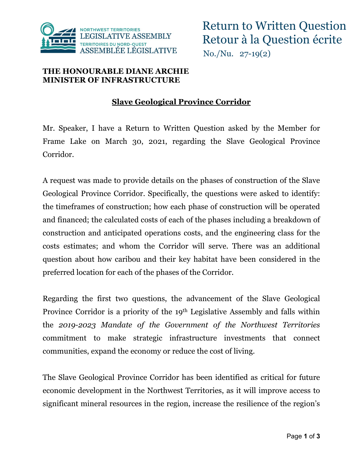

## **THE HONOURABLE DIANE ARCHIE MINISTER OF INFRASTRUCTURE**

## **Slave Geological Province Corridor**

Mr. Speaker, I have a Return to Written Question asked by the Member for Frame Lake on March 30, 2021, regarding the Slave Geological Province Corridor.

A request was made to provide details on the phases of construction of the Slave Geological Province Corridor. Specifically, the questions were asked to identify: the timeframes of construction; how each phase of construction will be operated and financed; the calculated costs of each of the phases including a breakdown of construction and anticipated operations costs, and the engineering class for the costs estimates; and whom the Corridor will serve. There was an additional question about how caribou and their key habitat have been considered in the preferred location for each of the phases of the Corridor.

Regarding the first two questions, the advancement of the Slave Geological Province Corridor is a priority of the 19th Legislative Assembly and falls within the *2019-2023 Mandate of the Government of the Northwest Territories*  commitment to make strategic infrastructure investments that connect communities, expand the economy or reduce the cost of living.

The Slave Geological Province Corridor has been identified as critical for future economic development in the Northwest Territories, as it will improve access to significant mineral resources in the region, increase the resilience of the region's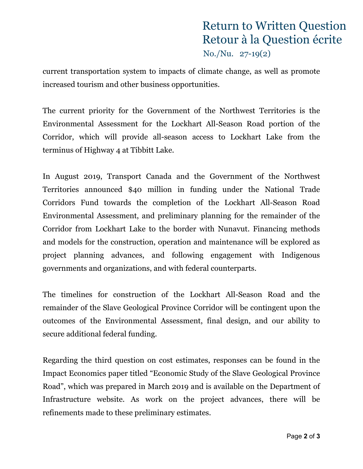## Return to Written Question Retour à la Question écrite No./Nu. 27-19(2)

current transportation system to impacts of climate change, as well as promote increased tourism and other business opportunities.

The current priority for the Government of the Northwest Territories is the Environmental Assessment for the Lockhart All-Season Road portion of the Corridor, which will provide all-season access to Lockhart Lake from the terminus of Highway 4 at Tibbitt Lake.

In August 2019, Transport Canada and the Government of the Northwest Territories announced \$40 million in funding under the National Trade Corridors Fund towards the completion of the Lockhart All-Season Road Environmental Assessment, and preliminary planning for the remainder of the Corridor from Lockhart Lake to the border with Nunavut. Financing methods and models for the construction, operation and maintenance will be explored as project planning advances, and following engagement with Indigenous governments and organizations, and with federal counterparts.

The timelines for construction of the Lockhart All-Season Road and the remainder of the Slave Geological Province Corridor will be contingent upon the outcomes of the Environmental Assessment, final design, and our ability to secure additional federal funding.

Regarding the third question on cost estimates, responses can be found in the Impact Economics paper titled "Economic Study of the Slave Geological Province Road", which was prepared in March 2019 and is available on the Department of Infrastructure website. As work on the project advances, there will be refinements made to these preliminary estimates.